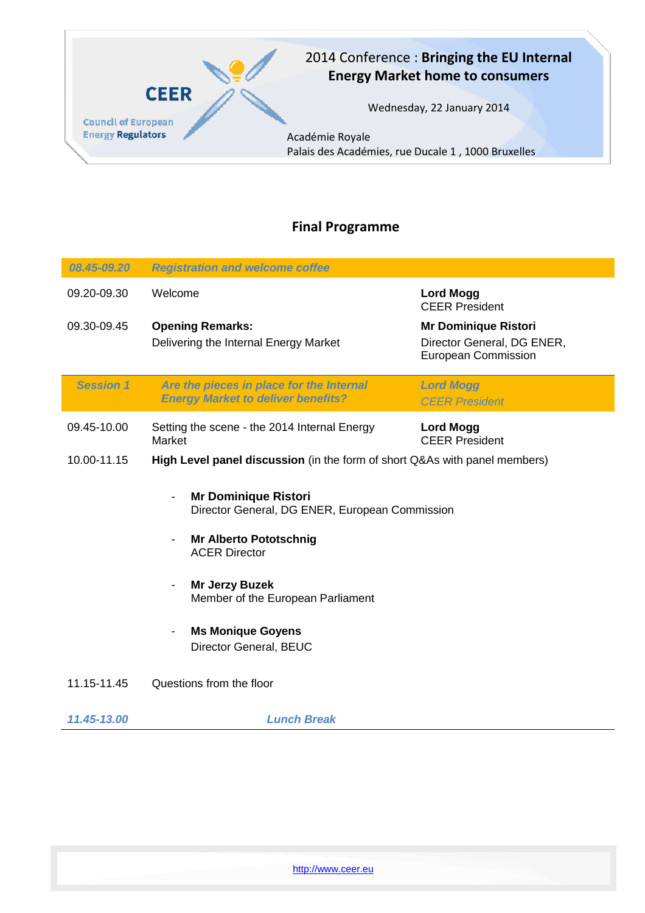

## 2014 Conference : **Bringing the EU Internal Energy Market home to consumers**

Wednesday, 22 January 2014

Académie Royale Palais des Académies, rue Ducale 1 , 1000 Bruxelles

## **Final Programme**

| 08.45-09.20      | <b>Registration and welcome coffee</b>                                                                                                                                                                                                                     |                                                                                         |  |
|------------------|------------------------------------------------------------------------------------------------------------------------------------------------------------------------------------------------------------------------------------------------------------|-----------------------------------------------------------------------------------------|--|
| 09.20-09.30      | Welcome                                                                                                                                                                                                                                                    | <b>Lord Mogg</b><br><b>CEER President</b>                                               |  |
| 09.30-09.45      | <b>Opening Remarks:</b><br>Delivering the Internal Energy Market                                                                                                                                                                                           | <b>Mr Dominique Ristori</b><br>Director General, DG ENER,<br><b>European Commission</b> |  |
| <b>Session 1</b> | Are the pieces in place for the Internal<br><b>Energy Market to deliver benefits?</b>                                                                                                                                                                      | <b>Lord Mogg</b><br><b>CEER President</b>                                               |  |
| 09.45-10.00      | Setting the scene - the 2014 Internal Energy<br>Market                                                                                                                                                                                                     | <b>Lord Mogg</b><br><b>CEER President</b>                                               |  |
| 10.00-11.15      | High Level panel discussion (in the form of short Q&As with panel members)                                                                                                                                                                                 |                                                                                         |  |
|                  | <b>Mr Dominique Ristori</b><br>Director General, DG ENER, European Commission<br><b>Mr Alberto Pototschnig</b><br><b>ACER Director</b><br><b>Mr Jerzy Buzek</b><br>Member of the European Parliament<br><b>Ms Monique Goyens</b><br>Director General, BEUC |                                                                                         |  |
| 11.15-11.45      | Questions from the floor                                                                                                                                                                                                                                   |                                                                                         |  |
| 11.45-13.00      | <b>Lunch Break</b>                                                                                                                                                                                                                                         |                                                                                         |  |

http://www.ceer.eu